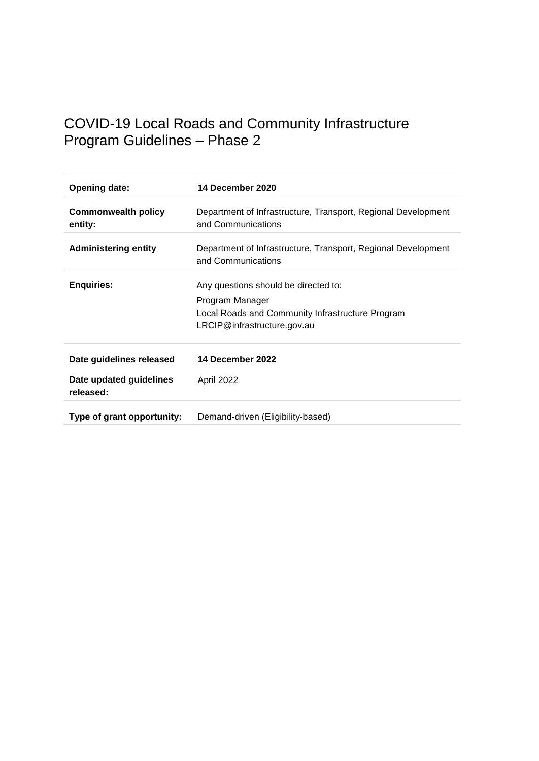## COVID-19 Local Roads and Community Infrastructure Program Guidelines – Phase 2

| <b>Opening date:</b>                  | 14 December 2020                                                                                                                           |
|---------------------------------------|--------------------------------------------------------------------------------------------------------------------------------------------|
| <b>Commonwealth policy</b><br>entity: | Department of Infrastructure, Transport, Regional Development<br>and Communications                                                        |
| <b>Administering entity</b>           | Department of Infrastructure, Transport, Regional Development<br>and Communications                                                        |
| <b>Enquiries:</b>                     | Any questions should be directed to:<br>Program Manager<br>Local Roads and Community Infrastructure Program<br>LRCIP@infrastructure.gov.au |
| Date guidelines released              | 14 December 2022                                                                                                                           |
| Date updated guidelines<br>released:  | April 2022                                                                                                                                 |
| Type of grant opportunity:            | Demand-driven (Eligibility-based)                                                                                                          |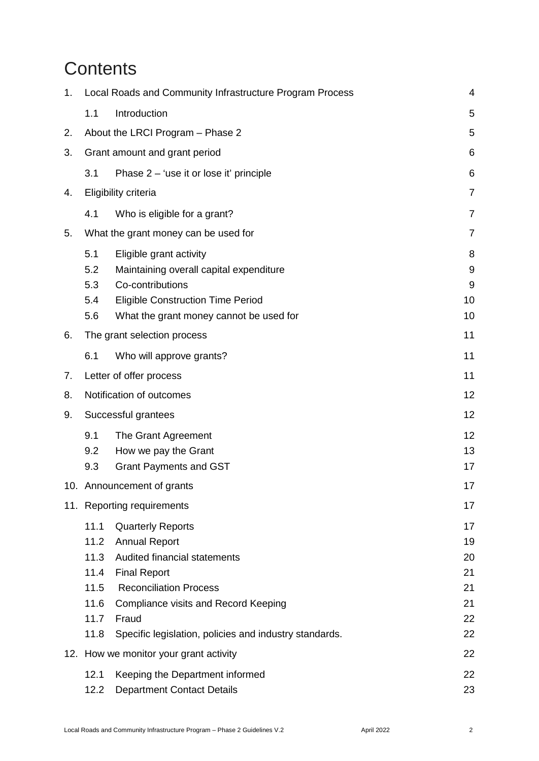# **Contents**

| 1.                        |                                                              | Local Roads and Community Infrastructure Program Process                                                                                                                                                                                                   | 4                                            |
|---------------------------|--------------------------------------------------------------|------------------------------------------------------------------------------------------------------------------------------------------------------------------------------------------------------------------------------------------------------------|----------------------------------------------|
|                           | 1.1                                                          | Introduction                                                                                                                                                                                                                                               | 5                                            |
| 2.                        |                                                              | About the LRCI Program - Phase 2                                                                                                                                                                                                                           | 5                                            |
| 3.                        |                                                              | Grant amount and grant period                                                                                                                                                                                                                              | 6                                            |
|                           | 3.1                                                          | Phase 2 – 'use it or lose it' principle                                                                                                                                                                                                                    | 6                                            |
| 4.                        |                                                              | Eligibility criteria                                                                                                                                                                                                                                       | $\overline{7}$                               |
|                           | 4.1                                                          | Who is eligible for a grant?                                                                                                                                                                                                                               | $\overline{7}$                               |
| 5.                        |                                                              | What the grant money can be used for                                                                                                                                                                                                                       | $\overline{7}$                               |
|                           | 5.1<br>5.2<br>5.3<br>5.4<br>5.6                              | Eligible grant activity<br>Maintaining overall capital expenditure<br>Co-contributions<br><b>Eligible Construction Time Period</b><br>What the grant money cannot be used for                                                                              | 8<br>9<br>9<br>10<br>10                      |
| 6.                        |                                                              | The grant selection process                                                                                                                                                                                                                                | 11                                           |
|                           | 6.1                                                          | Who will approve grants?                                                                                                                                                                                                                                   | 11                                           |
| 7.                        |                                                              | Letter of offer process                                                                                                                                                                                                                                    | 11                                           |
| 8.                        | Notification of outcomes                                     |                                                                                                                                                                                                                                                            | 12                                           |
| Successful grantees<br>9. |                                                              | 12                                                                                                                                                                                                                                                         |                                              |
|                           | 9.1<br>9.2<br>9.3                                            | The Grant Agreement<br>How we pay the Grant<br><b>Grant Payments and GST</b>                                                                                                                                                                               | 12<br>13<br>17                               |
|                           | 10. Announcement of grants                                   |                                                                                                                                                                                                                                                            | 17                                           |
|                           |                                                              | 11. Reporting requirements                                                                                                                                                                                                                                 | 17                                           |
|                           | 11.1<br>11.2<br>11.3<br>11.4<br>11.5<br>11.6<br>11.7<br>11.8 | <b>Quarterly Reports</b><br><b>Annual Report</b><br>Audited financial statements<br><b>Final Report</b><br><b>Reconciliation Process</b><br><b>Compliance visits and Record Keeping</b><br>Fraud<br>Specific legislation, policies and industry standards. | 17<br>19<br>20<br>21<br>21<br>21<br>22<br>22 |
|                           |                                                              | 12. How we monitor your grant activity                                                                                                                                                                                                                     | 22                                           |
|                           | 12.1<br>12.2                                                 | Keeping the Department informed<br><b>Department Contact Details</b>                                                                                                                                                                                       | 22<br>23                                     |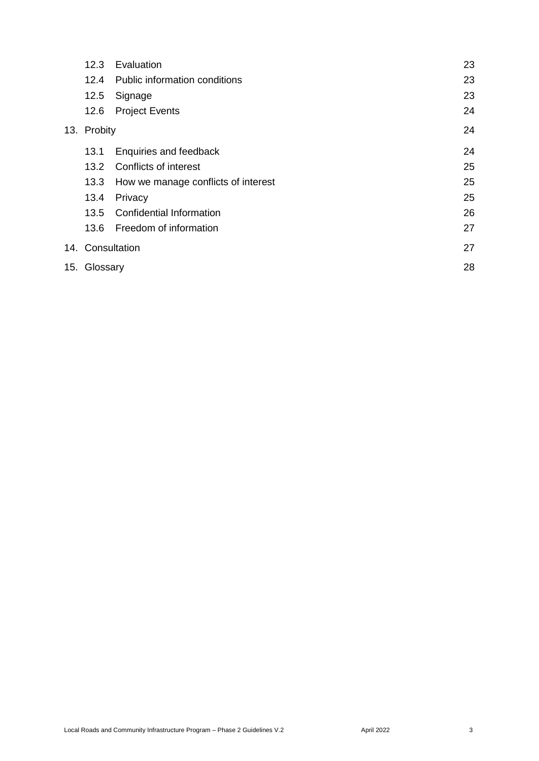| 12.3             | Evaluation                          | 23 |
|------------------|-------------------------------------|----|
| 12.4             | Public information conditions       | 23 |
| 12.5             | Signage                             | 23 |
| 12.6             | <b>Project Events</b>               | 24 |
| 13. Probity      |                                     | 24 |
| 13.1             | Enquiries and feedback              | 24 |
|                  | 13.2 Conflicts of interest          | 25 |
| 13.3             | How we manage conflicts of interest | 25 |
| 13.4             | Privacy                             | 25 |
| 13.5             | <b>Confidential Information</b>     | 26 |
| 13.6             | Freedom of information              | 27 |
| 14. Consultation |                                     | 27 |
| 15. Glossary     |                                     | 28 |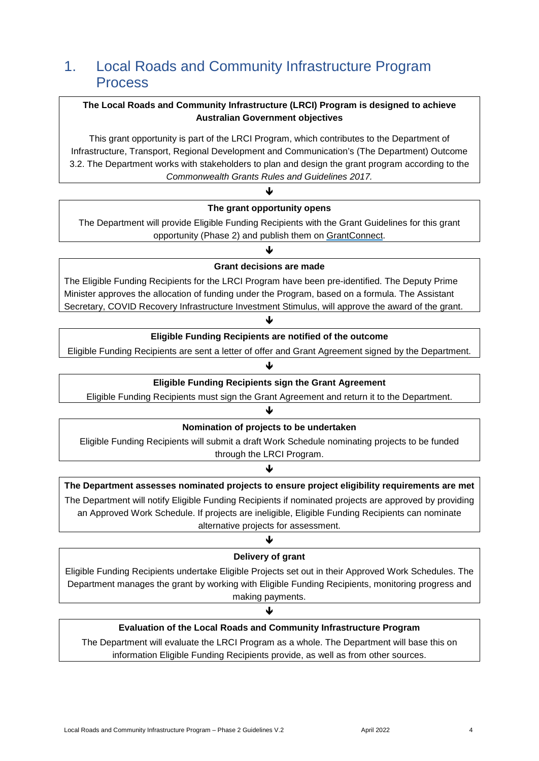## <span id="page-3-0"></span>1. Local Roads and Community Infrastructure Program Process

#### **The Local Roads and Community Infrastructure (LRCI) Program is designed to achieve Australian Government objectives**

This grant opportunity is part of the LRCI Program, which contributes to the Department of Infrastructure, Transport, Regional Development and Communication's (The Department) Outcome 3.2. The Department works with stakeholders to plan and design the grant program according to the *[Commonwealth Grants Rules and Guidelines 2017.](https://www.finance.gov.au/sites/default/files/commonwealth-grants-rules-and-guidelines.pdf)*

#### ♦ **The grant opportunity opens**

The Department will provide Eligible Funding Recipients with the Grant Guidelines for this grant opportunity (Phase 2) and publish them on [GrantConnect.](https://www.grants.gov.au/)

#### J **Grant decisions are made**

The Eligible Funding Recipients for the LRCI Program have been pre-identified. The Deputy Prime Minister approves the allocation of funding under the Program, based on a formula. The Assistant Secretary, COVID Recovery Infrastructure Investment Stimulus, will approve the award of the grant.

#### ↓

#### **Eligible Funding Recipients are notified of the outcome**

Eligible Funding Recipients are sent a letter of offer and Grant Agreement signed by the Department.

## ↓

#### **Eligible Funding Recipients sign the Grant Agreement**

Eligible Funding Recipients must sign the Grant Agreement and return it to the Department.

J

## **Nomination of projects to be undertaken**

Eligible Funding Recipients will submit a draft Work Schedule nominating projects to be funded through the LRCI Program.

### ↓

## **The Department assesses nominated projects to ensure project eligibility requirements are met**  The Department will notify Eligible Funding Recipients if nominated projects are approved by providing

an Approved Work Schedule. If projects are ineligible, Eligible Funding Recipients can nominate alternative projects for assessment.

#### ↓

#### **Delivery of grant**

Eligible Funding Recipients undertake Eligible Projects set out in their Approved Work Schedules. The Department manages the grant by working with Eligible Funding Recipients, monitoring progress and making payments.

#### ↓

### **Evaluation of the Local Roads and Community Infrastructure Program**

The Department will evaluate the LRCI Program as a whole. The Department will base this on information Eligible Funding Recipients provide, as well as from other sources.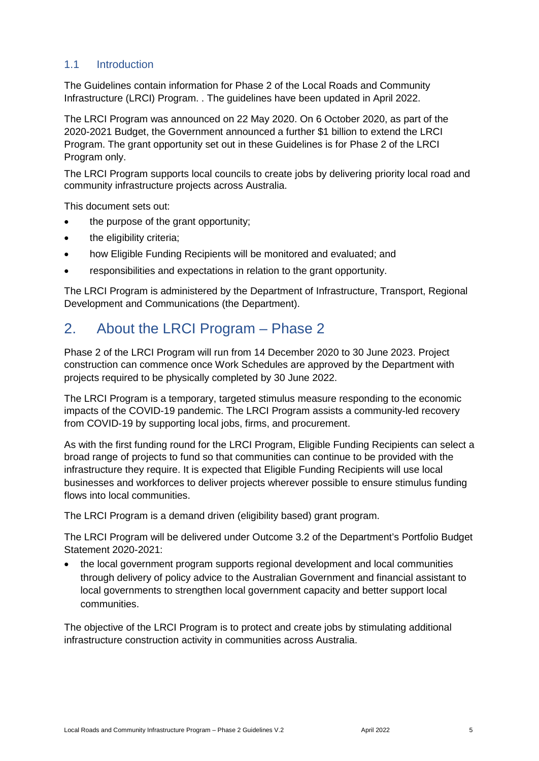### <span id="page-4-0"></span>1.1 Introduction

The Guidelines contain information for Phase 2 of the Local Roads and Community Infrastructure (LRCI) Program. . The guidelines have been updated in April 2022.

The LRCI Program was announced on 22 May 2020. On 6 October 2020, as part of the 2020-2021 Budget, the Government announced a further \$1 billion to extend the LRCI Program. The grant opportunity set out in these Guidelines is for Phase 2 of the LRCI Program only.

The LRCI Program supports local councils to create jobs by delivering priority local road and community infrastructure projects across Australia.

This document sets out:

- the purpose of the grant opportunity;
- the eligibility criteria;
- how Eligible Funding Recipients will be monitored and evaluated; and
- responsibilities and expectations in relation to the grant opportunity.

The LRCI Program is administered by the Department of Infrastructure, Transport, Regional Development and Communications (the Department).

## <span id="page-4-1"></span>2. About the LRCI Program – Phase 2

Phase 2 of the LRCI Program will run from 14 December 2020 to 30 June 2023. Project construction can commence once Work Schedules are approved by the Department with projects required to be physically completed by 30 June 2022.

The LRCI Program is a temporary, targeted stimulus measure responding to the economic impacts of the COVID-19 pandemic. The LRCI Program assists a community-led recovery from COVID-19 by supporting local jobs, firms, and procurement.

As with the first funding round for the LRCI Program, Eligible Funding Recipients can select a broad range of projects to fund so that communities can continue to be provided with the infrastructure they require. It is expected that Eligible Funding Recipients will use local businesses and workforces to deliver projects wherever possible to ensure stimulus funding flows into local communities.

The LRCI Program is a demand driven (eligibility based) grant program.

The LRCI Program will be delivered under Outcome 3.2 of the Department's Portfolio Budget Statement 2020-2021:

• the local government program supports regional development and local communities through delivery of policy advice to the Australian Government and financial assistant to local governments to strengthen local government capacity and better support local communities.

The objective of the LRCI Program is to protect and create jobs by stimulating additional infrastructure construction activity in communities across Australia.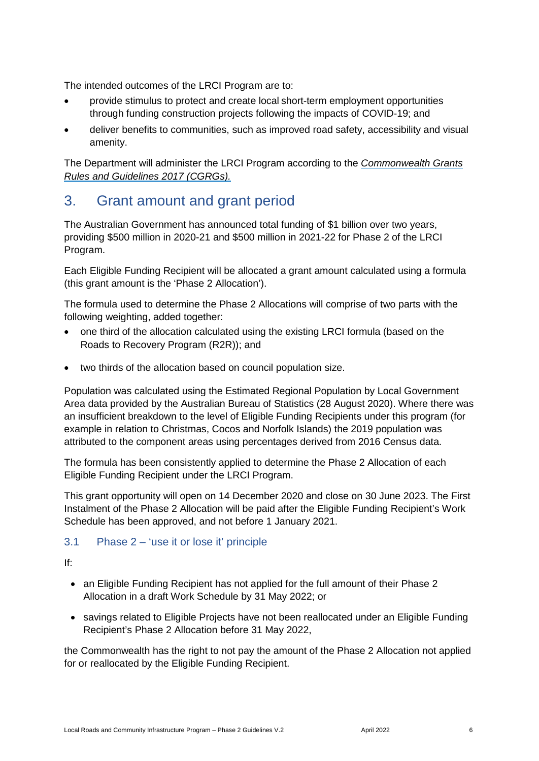The intended outcomes of the LRCI Program are to:

- provide stimulus to protect and create local short-term employment opportunities through funding construction projects following the impacts of COVID-19; and
- deliver benefits to communities, such as improved road safety, accessibility and visual amenity.

The Department will administer the LRCI Program according to the *[Commonwealth Grants](https://www.finance.gov.au/sites/default/files/commonwealth-grants-rules-and-guidelines.pdf)  [Rules and Guidelines 2017 \(CGRGs\).](https://www.finance.gov.au/sites/default/files/commonwealth-grants-rules-and-guidelines.pdf)*

## <span id="page-5-0"></span>3. Grant amount and grant period

The Australian Government has announced total funding of \$1 billion over two years, providing \$500 million in 2020-21 and \$500 million in 2021-22 for Phase 2 of the LRCI Program.

Each Eligible Funding Recipient will be allocated a grant amount calculated using a formula (this grant amount is the 'Phase 2 Allocation').

The formula used to determine the Phase 2 Allocations will comprise of two parts with the following weighting, added together:

- one third of the allocation calculated using the existing LRCI formula (based on the Roads to Recovery Program (R2R)); and
- two thirds of the allocation based on council population size.

Population was calculated using the Estimated Regional Population by Local Government Area data provided by the Australian Bureau of Statistics (28 August 2020). Where there was an insufficient breakdown to the level of Eligible Funding Recipients under this program (for example in relation to Christmas, Cocos and Norfolk Islands) the 2019 population was attributed to the component areas using percentages derived from 2016 Census data.

The formula has been consistently applied to determine the Phase 2 Allocation of each Eligible Funding Recipient under the LRCI Program.

This grant opportunity will open on 14 December 2020 and close on 30 June 2023. The First Instalment of the Phase 2 Allocation will be paid after the Eligible Funding Recipient's Work Schedule has been approved, and not before 1 January 2021.

### <span id="page-5-1"></span>3.1 Phase 2 – 'use it or lose it' principle

If:

- an Eligible Funding Recipient has not applied for the full amount of their Phase 2 Allocation in a draft Work Schedule by 31 May 2022; or
- savings related to Eligible Projects have not been reallocated under an Eligible Funding Recipient's Phase 2 Allocation before 31 May 2022,

the Commonwealth has the right to not pay the amount of the Phase 2 Allocation not applied for or reallocated by the Eligible Funding Recipient.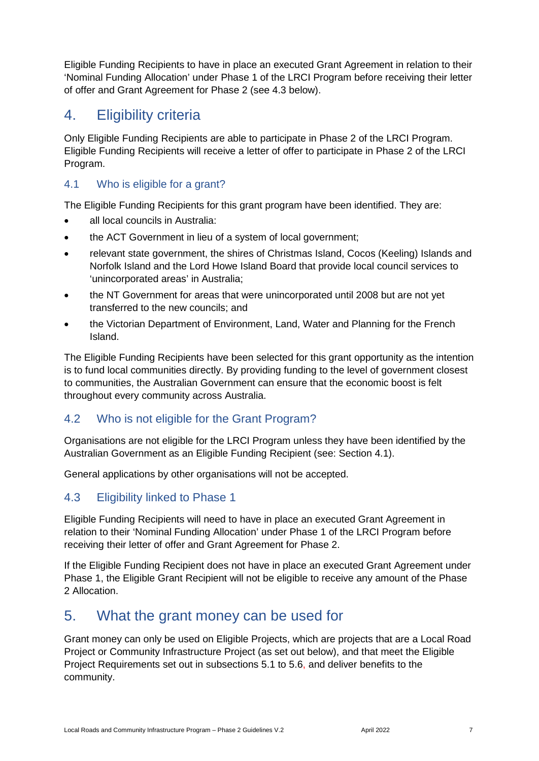Eligible Funding Recipients to have in place an executed Grant Agreement in relation to their 'Nominal Funding Allocation' under Phase 1 of the LRCI Program before receiving their letter of offer and Grant Agreement for Phase 2 (see 4.3 below).

## <span id="page-6-0"></span>4. Eligibility criteria

Only Eligible Funding Recipients are able to participate in Phase 2 of the LRCI Program. Eligible Funding Recipients will receive a letter of offer to participate in Phase 2 of the LRCI Program.

### <span id="page-6-1"></span>4.1 Who is eligible for a grant?

The Eligible Funding Recipients for this grant program have been identified. They are:

- all local councils in Australia:
- the ACT Government in lieu of a system of local government;
- relevant state government, the shires of Christmas Island, Cocos (Keeling) Islands and Norfolk Island and the Lord Howe Island Board that provide local council services to 'unincorporated areas' in Australia;
- the NT Government for areas that were unincorporated until 2008 but are not yet transferred to the new councils; and
- the Victorian Department of Environment, Land, Water and Planning for the French Island.

The Eligible Funding Recipients have been selected for this grant opportunity as the intention is to fund local communities directly. By providing funding to the level of government closest to communities, the Australian Government can ensure that the economic boost is felt throughout every community across Australia.

## 4.2 Who is not eligible for the Grant Program?

Organisations are not eligible for the LRCI Program unless they have been identified by the Australian Government as an Eligible Funding Recipient (see: Section 4.1).

General applications by other organisations will not be accepted.

## 4.3 Eligibility linked to Phase 1

Eligible Funding Recipients will need to have in place an executed Grant Agreement in relation to their 'Nominal Funding Allocation' under Phase 1 of the LRCI Program before receiving their letter of offer and Grant Agreement for Phase 2.

If the Eligible Funding Recipient does not have in place an executed Grant Agreement under Phase 1, the Eligible Grant Recipient will not be eligible to receive any amount of the Phase 2 Allocation.

## <span id="page-6-2"></span>5. What the grant money can be used for

Grant money can only be used on Eligible Projects, which are projects that are a Local Road Project or Community Infrastructure Project (as set out below), and that meet the Eligible Project Requirements set out in subsections 5.1 to 5.6, and deliver benefits to the community.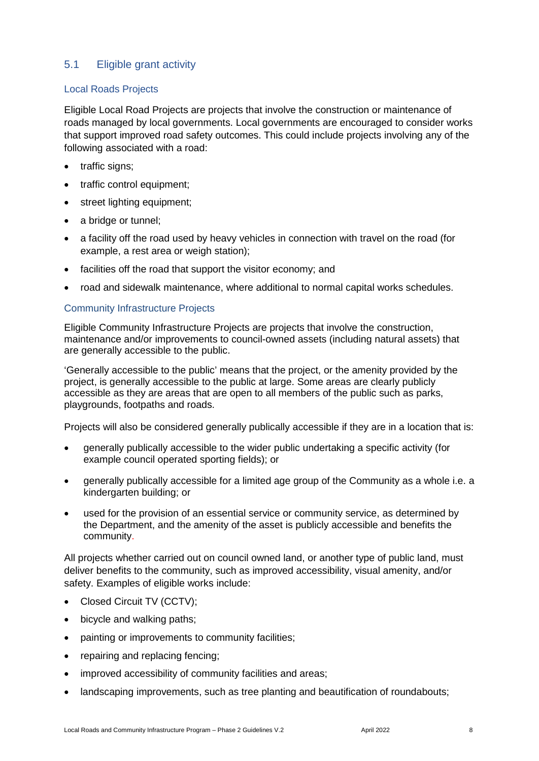### <span id="page-7-0"></span>5.1 Eligible grant activity

#### Local Roads Projects

Eligible Local Road Projects are projects that involve the construction or maintenance of roads managed by local governments. Local governments are encouraged to consider works that support improved road safety outcomes. This could include projects involving any of the following associated with a road:

- traffic signs;
- traffic control equipment;
- street lighting equipment;
- a bridge or tunnel;
- a facility off the road used by heavy vehicles in connection with travel on the road (for example, a rest area or weigh station);
- facilities off the road that support the visitor economy; and
- road and sidewalk maintenance, where additional to normal capital works schedules.

#### Community Infrastructure Projects

Eligible Community Infrastructure Projects are projects that involve the construction, maintenance and/or improvements to council-owned assets (including natural assets) that are generally accessible to the public.

'Generally accessible to the public' means that the project, or the amenity provided by the project, is generally accessible to the public at large. Some areas are clearly publicly accessible as they are areas that are open to all members of the public such as parks, playgrounds, footpaths and roads.

Projects will also be considered generally publically accessible if they are in a location that is:

- generally publically accessible to the wider public undertaking a specific activity (for example council operated sporting fields); or
- generally publically accessible for a limited age group of the Community as a whole i.e. a kindergarten building; or
- used for the provision of an essential service or community service, as determined by the Department, and the amenity of the asset is publicly accessible and benefits the community.

All projects whether carried out on council owned land, or another type of public land, must deliver benefits to the community, such as improved accessibility, visual amenity, and/or safety. Examples of eligible works include:

- Closed Circuit TV (CCTV);
- bicycle and walking paths;
- painting or improvements to community facilities;
- repairing and replacing fencing;
- improved accessibility of community facilities and areas;
- landscaping improvements, such as tree planting and beautification of roundabouts;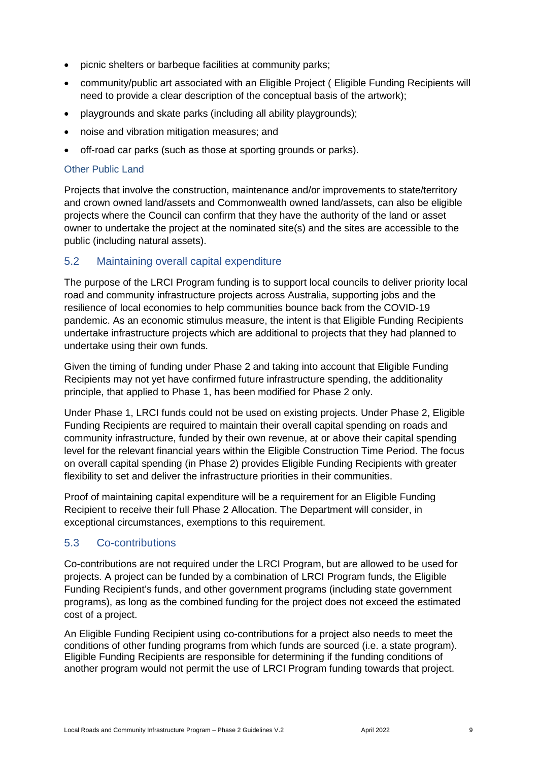- picnic shelters or barbeque facilities at community parks;
- community/public art associated with an Eligible Project ( Eligible Funding Recipients will need to provide a clear description of the conceptual basis of the artwork);
- playgrounds and skate parks (including all ability playgrounds);
- noise and vibration mitigation measures; and
- off-road car parks (such as those at sporting grounds or parks).

#### Other Public Land

Projects that involve the construction, maintenance and/or improvements to state/territory and crown owned land/assets and Commonwealth owned land/assets, can also be eligible projects where the Council can confirm that they have the authority of the land or asset owner to undertake the project at the nominated site(s) and the sites are accessible to the public (including natural assets).

### <span id="page-8-0"></span>5.2 Maintaining overall capital expenditure

The purpose of the LRCI Program funding is to support local councils to deliver priority local road and community infrastructure projects across Australia, supporting jobs and the resilience of local economies to help communities bounce back from the COVID-19 pandemic. As an economic stimulus measure, the intent is that Eligible Funding Recipients undertake infrastructure projects which are additional to projects that they had planned to undertake using their own funds.

Given the timing of funding under Phase 2 and taking into account that Eligible Funding Recipients may not yet have confirmed future infrastructure spending, the additionality principle, that applied to Phase 1, has been modified for Phase 2 only.

Under Phase 1, LRCI funds could not be used on existing projects. Under Phase 2, Eligible Funding Recipients are required to maintain their overall capital spending on roads and community infrastructure, funded by their own revenue, at or above their capital spending level for the relevant financial years within the Eligible Construction Time Period. The focus on overall capital spending (in Phase 2) provides Eligible Funding Recipients with greater flexibility to set and deliver the infrastructure priorities in their communities.

Proof of maintaining capital expenditure will be a requirement for an Eligible Funding Recipient to receive their full Phase 2 Allocation. The Department will consider, in exceptional circumstances, exemptions to this requirement.

### <span id="page-8-1"></span>5.3 Co-contributions

Co-contributions are not required under the LRCI Program, but are allowed to be used for projects. A project can be funded by a combination of LRCI Program funds, the Eligible Funding Recipient's funds, and other government programs (including state government programs), as long as the combined funding for the project does not exceed the estimated cost of a project.

An Eligible Funding Recipient using co-contributions for a project also needs to meet the conditions of other funding programs from which funds are sourced (i.e. a state program). Eligible Funding Recipients are responsible for determining if the funding conditions of another program would not permit the use of LRCI Program funding towards that project.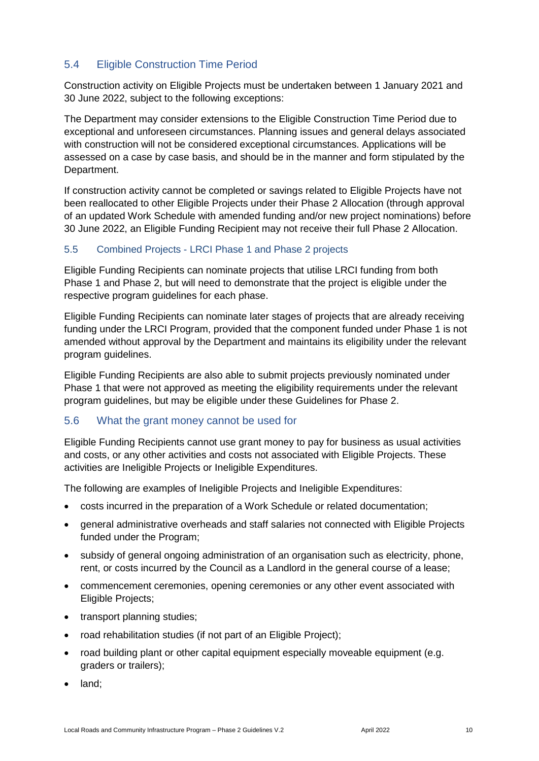### <span id="page-9-0"></span>5.4 Eligible Construction Time Period

Construction activity on Eligible Projects must be undertaken between 1 January 2021 and 30 June 2022, subject to the following exceptions:

The Department may consider extensions to the Eligible Construction Time Period due to exceptional and unforeseen circumstances. Planning issues and general delays associated with construction will not be considered exceptional circumstances. Applications will be assessed on a case by case basis, and should be in the manner and form stipulated by the Department.

If construction activity cannot be completed or savings related to Eligible Projects have not been reallocated to other Eligible Projects under their Phase 2 Allocation (through approval of an updated Work Schedule with amended funding and/or new project nominations) before 30 June 2022, an Eligible Funding Recipient may not receive their full Phase 2 Allocation.

#### 5.5 Combined Projects - LRCI Phase 1 and Phase 2 projects

Eligible Funding Recipients can nominate projects that utilise LRCI funding from both Phase 1 and Phase 2, but will need to demonstrate that the project is eligible under the respective program guidelines for each phase.

Eligible Funding Recipients can nominate later stages of projects that are already receiving funding under the LRCI Program, provided that the component funded under Phase 1 is not amended without approval by the Department and maintains its eligibility under the relevant program guidelines.

Eligible Funding Recipients are also able to submit projects previously nominated under Phase 1 that were not approved as meeting the eligibility requirements under the relevant program guidelines, but may be eligible under these Guidelines for Phase 2.

### <span id="page-9-1"></span>5.6 What the grant money cannot be used for

Eligible Funding Recipients cannot use grant money to pay for business as usual activities and costs, or any other activities and costs not associated with Eligible Projects. These activities are Ineligible Projects or Ineligible Expenditures.

The following are examples of Ineligible Projects and Ineligible Expenditures:

- costs incurred in the preparation of a Work Schedule or related documentation;
- general administrative overheads and staff salaries not connected with Eligible Projects funded under the Program;
- subsidy of general ongoing administration of an organisation such as electricity, phone, rent, or costs incurred by the Council as a Landlord in the general course of a lease;
- commencement ceremonies, opening ceremonies or any other event associated with Eligible Projects;
- transport planning studies;
- road rehabilitation studies (if not part of an Eligible Project);
- road building plant or other capital equipment especially moveable equipment (e.g. graders or trailers);
- land;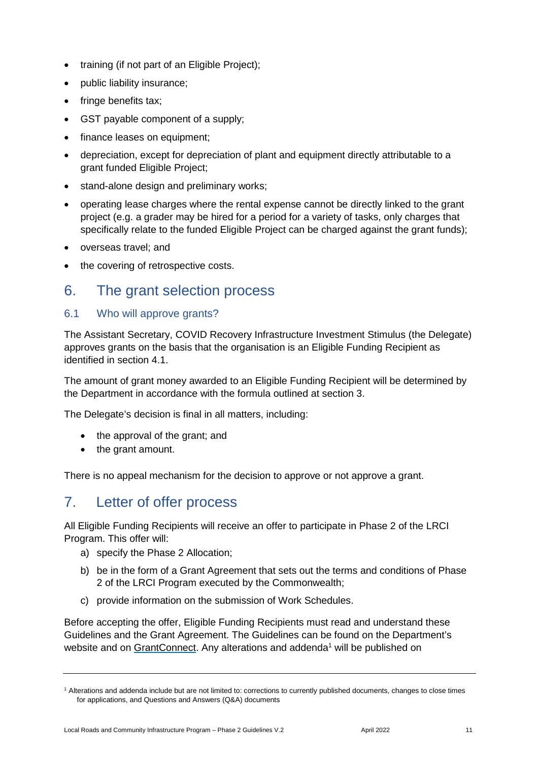- training (if not part of an Eligible Project);
- public liability insurance;
- fringe benefits tax;
- GST payable component of a supply;
- finance leases on equipment;
- depreciation, except for depreciation of plant and equipment directly attributable to a grant funded Eligible Project;
- stand-alone design and preliminary works;
- operating lease charges where the rental expense cannot be directly linked to the grant project (e.g. a grader may be hired for a period for a variety of tasks, only charges that specifically relate to the funded Eligible Project can be charged against the grant funds);
- overseas travel; and
- the covering of retrospective costs.

## <span id="page-10-0"></span>6. The grant selection process

#### <span id="page-10-1"></span>6.1 Who will approve grants?

The Assistant Secretary, COVID Recovery Infrastructure Investment Stimulus (the Delegate) approves grants on the basis that the organisation is an Eligible Funding Recipient as identified in section 4.1.

The amount of grant money awarded to an Eligible Funding Recipient will be determined by the Department in accordance with the formula outlined at section 3.

The Delegate's decision is final in all matters, including:

- the approval of the grant; and
- the grant amount.

There is no appeal mechanism for the decision to approve or not approve a grant.

## <span id="page-10-2"></span>7. Letter of offer process

All Eligible Funding Recipients will receive an offer to participate in Phase 2 of the LRCI Program. This offer will:

- a) specify the Phase 2 Allocation;
- b) be in the form of a Grant Agreement that sets out the terms and conditions of Phase 2 of the LRCI Program executed by the Commonwealth;
- c) provide information on the submission of Work Schedules.

Before accepting the offer, Eligible Funding Recipients must read and understand these Guidelines and the Grant Agreement. The Guidelines can be found on the Department's website and on [GrantConnect.](http://www.grants.gov.au/) Any alterations and addenda<sup>1</sup> will be published on

<sup>1</sup> Alterations and addenda include but are not limited to: corrections to currently published documents, changes to close times for applications, and Questions and Answers (Q&A) documents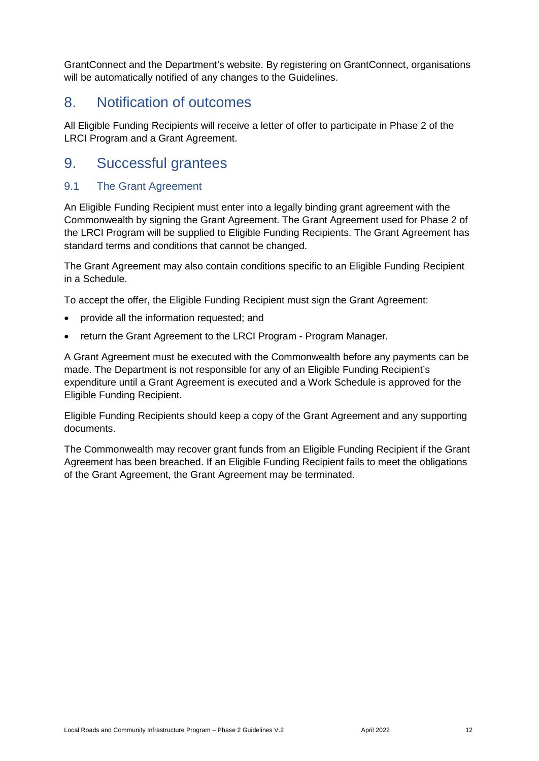GrantConnect and the Department's website. By registering on GrantConnect, organisations will be automatically notified of any changes to the Guidelines.

## <span id="page-11-0"></span>8. Notification of outcomes

All Eligible Funding Recipients will receive a letter of offer to participate in Phase 2 of the LRCI Program and a Grant Agreement.

## <span id="page-11-1"></span>9. Successful grantees

### <span id="page-11-2"></span>9.1 The Grant Agreement

An Eligible Funding Recipient must enter into a legally binding grant agreement with the Commonwealth by signing the Grant Agreement. The Grant Agreement used for Phase 2 of the LRCI Program will be supplied to Eligible Funding Recipients. The Grant Agreement has standard terms and conditions that cannot be changed.

The Grant Agreement may also contain conditions specific to an Eligible Funding Recipient in a Schedule.

To accept the offer, the Eligible Funding Recipient must sign the Grant Agreement:

- provide all the information requested; and
- return the Grant Agreement to the LRCI Program Program Manager.

A Grant Agreement must be executed with the Commonwealth before any payments can be made. The Department is not responsible for any of an Eligible Funding Recipient's expenditure until a Grant Agreement is executed and a Work Schedule is approved for the Eligible Funding Recipient.

Eligible Funding Recipients should keep a copy of the Grant Agreement and any supporting documents.

The Commonwealth may recover grant funds from an Eligible Funding Recipient if the Grant Agreement has been breached. If an Eligible Funding Recipient fails to meet the obligations of the Grant Agreement, the Grant Agreement may be terminated.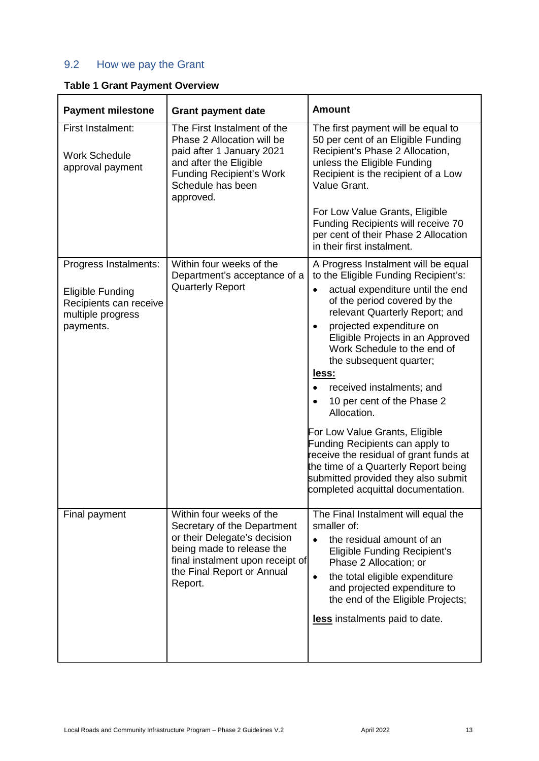## <span id="page-12-0"></span>9.2 How we pay the Grant

| <b>Payment milestone</b>                                                                                     | <b>Grant payment date</b>                                                                                                                                                                         | <b>Amount</b>                                                                                                                                                                                                                                                                                                                                                                                                                                                                                                                                                                                                                                                |
|--------------------------------------------------------------------------------------------------------------|---------------------------------------------------------------------------------------------------------------------------------------------------------------------------------------------------|--------------------------------------------------------------------------------------------------------------------------------------------------------------------------------------------------------------------------------------------------------------------------------------------------------------------------------------------------------------------------------------------------------------------------------------------------------------------------------------------------------------------------------------------------------------------------------------------------------------------------------------------------------------|
| First Instalment:<br><b>Work Schedule</b><br>approval payment                                                | The First Instalment of the<br>Phase 2 Allocation will be<br>paid after 1 January 2021<br>and after the Eligible<br><b>Funding Recipient's Work</b><br>Schedule has been<br>approved.             | The first payment will be equal to<br>50 per cent of an Eligible Funding<br>Recipient's Phase 2 Allocation,<br>unless the Eligible Funding<br>Recipient is the recipient of a Low<br>Value Grant.<br>For Low Value Grants, Eligible<br>Funding Recipients will receive 70<br>per cent of their Phase 2 Allocation<br>in their first instalment.                                                                                                                                                                                                                                                                                                              |
| Progress Instalments:<br><b>Eligible Funding</b><br>Recipients can receive<br>multiple progress<br>payments. | Within four weeks of the<br>Department's acceptance of a<br><b>Quarterly Report</b>                                                                                                               | A Progress Instalment will be equal<br>to the Eligible Funding Recipient's:<br>actual expenditure until the end<br>$\bullet$<br>of the period covered by the<br>relevant Quarterly Report; and<br>projected expenditure on<br>$\bullet$<br>Eligible Projects in an Approved<br>Work Schedule to the end of<br>the subsequent quarter;<br>less:<br>received instalments; and<br>10 per cent of the Phase 2<br>Allocation.<br>For Low Value Grants, Eligible<br>Funding Recipients can apply to<br>receive the residual of grant funds at<br>the time of a Quarterly Report being<br>submitted provided they also submit<br>completed acquittal documentation. |
| Final payment                                                                                                | Within four weeks of the<br>Secretary of the Department<br>or their Delegate's decision<br>being made to release the<br>final instalment upon receipt of<br>the Final Report or Annual<br>Report. | The Final Instalment will equal the<br>smaller of:<br>the residual amount of an<br><b>Eligible Funding Recipient's</b><br>Phase 2 Allocation; or<br>the total eligible expenditure<br>$\bullet$<br>and projected expenditure to<br>the end of the Eligible Projects;<br>less instalments paid to date.                                                                                                                                                                                                                                                                                                                                                       |

## **Table 1 Grant Payment Overview**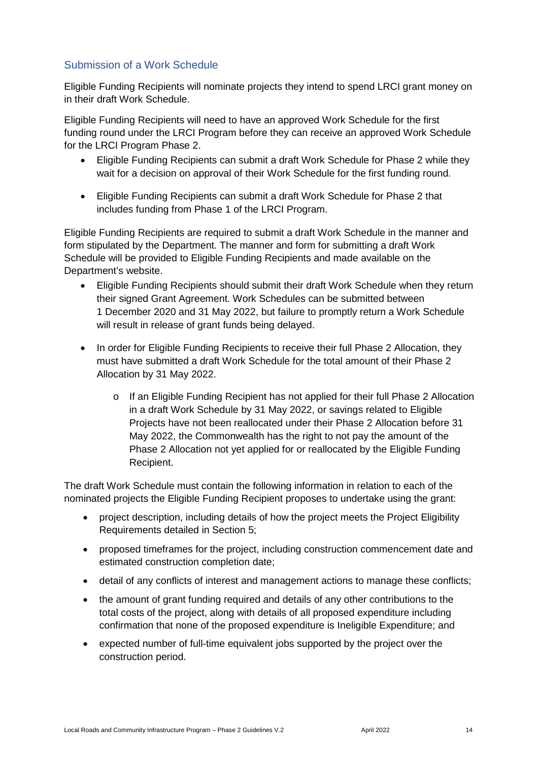## Submission of a Work Schedule

Eligible Funding Recipients will nominate projects they intend to spend LRCI grant money on in their draft Work Schedule.

Eligible Funding Recipients will need to have an approved Work Schedule for the first funding round under the LRCI Program before they can receive an approved Work Schedule for the LRCI Program Phase 2.

- Eligible Funding Recipients can submit a draft Work Schedule for Phase 2 while they wait for a decision on approval of their Work Schedule for the first funding round.
- Eligible Funding Recipients can submit a draft Work Schedule for Phase 2 that includes funding from Phase 1 of the LRCI Program.

Eligible Funding Recipients are required to submit a draft Work Schedule in the manner and form stipulated by the Department. The manner and form for submitting a draft Work Schedule will be provided to Eligible Funding Recipients and made available on the Department's website.

- Eligible Funding Recipients should submit their draft Work Schedule when they return their signed Grant Agreement. Work Schedules can be submitted between 1 December 2020 and 31 May 2022, but failure to promptly return a Work Schedule will result in release of grant funds being delayed.
- In order for Eligible Funding Recipients to receive their full Phase 2 Allocation, they must have submitted a draft Work Schedule for the total amount of their Phase 2 Allocation by 31 May 2022.
	- o If an Eligible Funding Recipient has not applied for their full Phase 2 Allocation in a draft Work Schedule by 31 May 2022, or savings related to Eligible Projects have not been reallocated under their Phase 2 Allocation before 31 May 2022, the Commonwealth has the right to not pay the amount of the Phase 2 Allocation not yet applied for or reallocated by the Eligible Funding Recipient.

The draft Work Schedule must contain the following information in relation to each of the nominated projects the Eligible Funding Recipient proposes to undertake using the grant:

- project description, including details of how the project meets the Project Eligibility Requirements detailed in Section 5;
- proposed timeframes for the project, including construction commencement date and estimated construction completion date;
- detail of any conflicts of interest and management actions to manage these conflicts;
- the amount of grant funding required and details of any other contributions to the total costs of the project, along with details of all proposed expenditure including confirmation that none of the proposed expenditure is Ineligible Expenditure; and
- expected number of full-time equivalent jobs supported by the project over the construction period.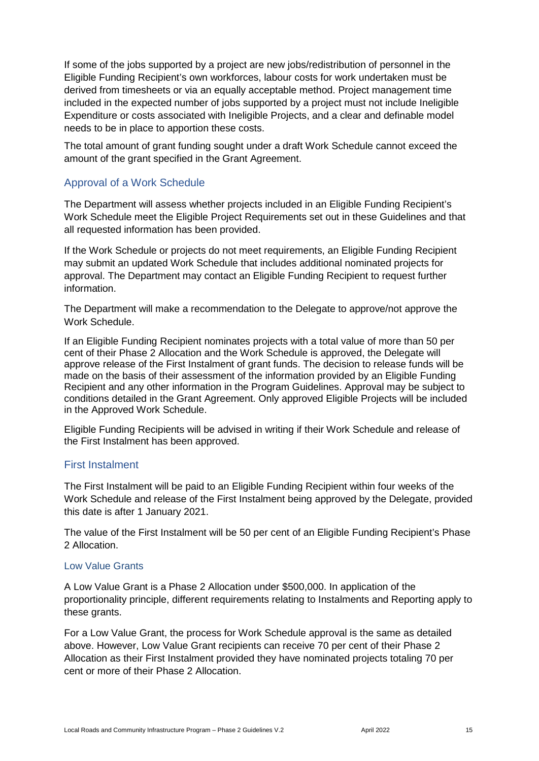If some of the jobs supported by a project are new jobs/redistribution of personnel in the Eligible Funding Recipient's own workforces, labour costs for work undertaken must be derived from timesheets or via an equally acceptable method. Project management time included in the expected number of jobs supported by a project must not include Ineligible Expenditure or costs associated with Ineligible Projects, and a clear and definable model needs to be in place to apportion these costs.

The total amount of grant funding sought under a draft Work Schedule cannot exceed the amount of the grant specified in the Grant Agreement.

### Approval of a Work Schedule

The Department will assess whether projects included in an Eligible Funding Recipient's Work Schedule meet the Eligible Project Requirements set out in these Guidelines and that all requested information has been provided.

If the Work Schedule or projects do not meet requirements, an Eligible Funding Recipient may submit an updated Work Schedule that includes additional nominated projects for approval. The Department may contact an Eligible Funding Recipient to request further information.

The Department will make a recommendation to the Delegate to approve/not approve the Work Schedule.

If an Eligible Funding Recipient nominates projects with a total value of more than 50 per cent of their Phase 2 Allocation and the Work Schedule is approved, the Delegate will approve release of the First Instalment of grant funds. The decision to release funds will be made on the basis of their assessment of the information provided by an Eligible Funding Recipient and any other information in the Program Guidelines. Approval may be subject to conditions detailed in the Grant Agreement. Only approved Eligible Projects will be included in the Approved Work Schedule.

Eligible Funding Recipients will be advised in writing if their Work Schedule and release of the First Instalment has been approved.

#### First Instalment

The First Instalment will be paid to an Eligible Funding Recipient within four weeks of the Work Schedule and release of the First Instalment being approved by the Delegate, provided this date is after 1 January 2021.

The value of the First Instalment will be 50 per cent of an Eligible Funding Recipient's Phase 2 Allocation.

#### Low Value Grants

A Low Value Grant is a Phase 2 Allocation under \$500,000. In application of the proportionality principle, different requirements relating to Instalments and Reporting apply to these grants.

For a Low Value Grant, the process for Work Schedule approval is the same as detailed above. However, Low Value Grant recipients can receive 70 per cent of their Phase 2 Allocation as their First Instalment provided they have nominated projects totaling 70 per cent or more of their Phase 2 Allocation.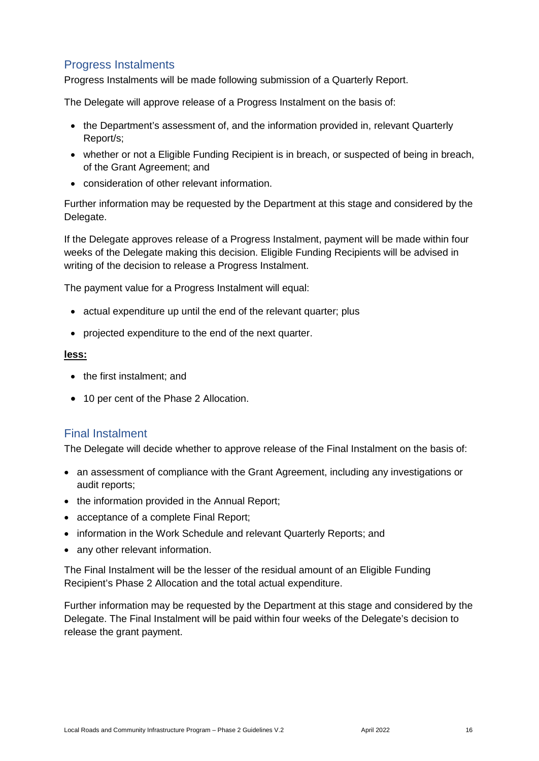## Progress Instalments

Progress Instalments will be made following submission of a Quarterly Report.

The Delegate will approve release of a Progress Instalment on the basis of:

- the Department's assessment of, and the information provided in, relevant Quarterly Report/s;
- whether or not a Eligible Funding Recipient is in breach, or suspected of being in breach, of the Grant Agreement; and
- consideration of other relevant information.

Further information may be requested by the Department at this stage and considered by the Delegate.

If the Delegate approves release of a Progress Instalment, payment will be made within four weeks of the Delegate making this decision. Eligible Funding Recipients will be advised in writing of the decision to release a Progress Instalment.

The payment value for a Progress Instalment will equal:

- actual expenditure up until the end of the relevant quarter; plus
- projected expenditure to the end of the next quarter.

#### **less:**

- the first instalment: and
- 10 per cent of the Phase 2 Allocation.

#### Final Instalment

The Delegate will decide whether to approve release of the Final Instalment on the basis of:

- an assessment of compliance with the Grant Agreement, including any investigations or audit reports;
- the information provided in the Annual Report;
- acceptance of a complete Final Report;
- information in the Work Schedule and relevant Quarterly Reports; and
- any other relevant information.

The Final Instalment will be the lesser of the residual amount of an Eligible Funding Recipient's Phase 2 Allocation and the total actual expenditure.

Further information may be requested by the Department at this stage and considered by the Delegate. The Final Instalment will be paid within four weeks of the Delegate's decision to release the grant payment.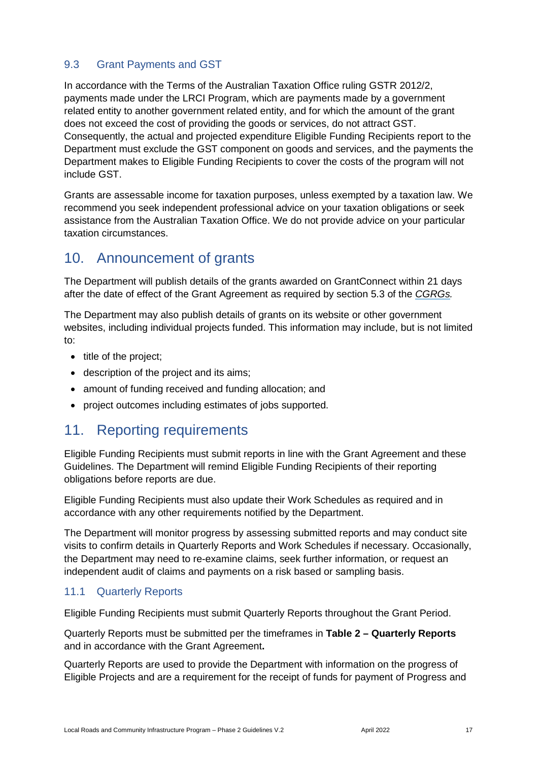## <span id="page-16-0"></span>9.3 Grant Payments and GST

In accordance with the Terms of the Australian Taxation Office ruling GSTR 2012/2, payments made under the LRCI Program, which are payments made by a government related entity to another government related entity, and for which the amount of the grant does not exceed the cost of providing the goods or services, do not attract GST. Consequently, the actual and projected expenditure Eligible Funding Recipients report to the Department must exclude the GST component on goods and services, and the payments the Department makes to Eligible Funding Recipients to cover the costs of the program will not include GST.

Grants are assessable income for taxation purposes, unless exempted by a taxation law. We recommend you seek independent professional advice on your taxation obligations or seek assistance from the [Australian Taxation Office.](https://www.ato.gov.au/) We do not provide advice on your particular taxation circumstances.

## <span id="page-16-1"></span>10. Announcement of grants

The Department will publish details of the grants awarded on GrantConnect within 21 days after the date of effect of the Grant Agreement as required by section 5.3 of the *[CGRGs.](http://cgrgs/)*

The Department may also publish details of grants on its website or other government websites, including individual projects funded. This information may include, but is not limited to:

- $\bullet$  title of the project;
- description of the project and its aims;
- amount of funding received and funding allocation; and
- project outcomes including estimates of jobs supported.

## <span id="page-16-2"></span>11. Reporting requirements

Eligible Funding Recipients must submit reports in line with the Grant Agreement and these Guidelines. The Department will remind Eligible Funding Recipients of their reporting obligations before reports are due.

Eligible Funding Recipients must also update their Work Schedules as required and in accordance with any other requirements notified by the Department.

The Department will monitor progress by assessing submitted reports and may conduct site visits to confirm details in Quarterly Reports and Work Schedules if necessary. Occasionally, the Department may need to re-examine claims, seek further information, or request an independent audit of claims and payments on a risk based or sampling basis.

### <span id="page-16-3"></span>11.1 Quarterly Reports

Eligible Funding Recipients must submit Quarterly Reports throughout the Grant Period.

Quarterly Reports must be submitted per the timeframes in **Table 2 – Quarterly Reports**  and in accordance with the Grant Agreement**.** 

Quarterly Reports are used to provide the Department with information on the progress of Eligible Projects and are a requirement for the receipt of funds for payment of Progress and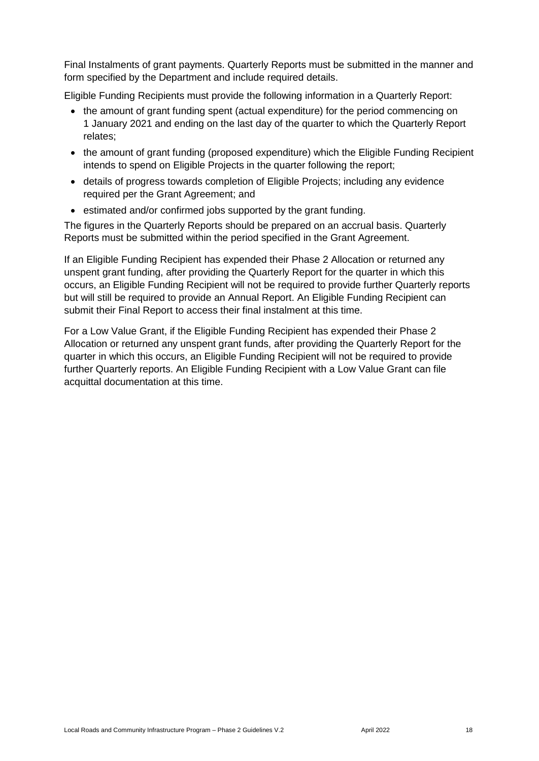Final Instalments of grant payments. Quarterly Reports must be submitted in the manner and form specified by the Department and include required details.

Eligible Funding Recipients must provide the following information in a Quarterly Report:

- the amount of grant funding spent (actual expenditure) for the period commencing on 1 January 2021 and ending on the last day of the quarter to which the Quarterly Report relates;
- the amount of grant funding (proposed expenditure) which the Eligible Funding Recipient intends to spend on Eligible Projects in the quarter following the report;
- details of progress towards completion of Eligible Projects; including any evidence required per the Grant Agreement; and
- estimated and/or confirmed jobs supported by the grant funding.

The figures in the Quarterly Reports should be prepared on an accrual basis. Quarterly Reports must be submitted within the period specified in the Grant Agreement.

If an Eligible Funding Recipient has expended their Phase 2 Allocation or returned any unspent grant funding, after providing the Quarterly Report for the quarter in which this occurs, an Eligible Funding Recipient will not be required to provide further Quarterly reports but will still be required to provide an Annual Report. An Eligible Funding Recipient can submit their Final Report to access their final instalment at this time.

For a Low Value Grant, if the Eligible Funding Recipient has expended their Phase 2 Allocation or returned any unspent grant funds, after providing the Quarterly Report for the quarter in which this occurs, an Eligible Funding Recipient will not be required to provide further Quarterly reports. An Eligible Funding Recipient with a Low Value Grant can file acquittal documentation at this time.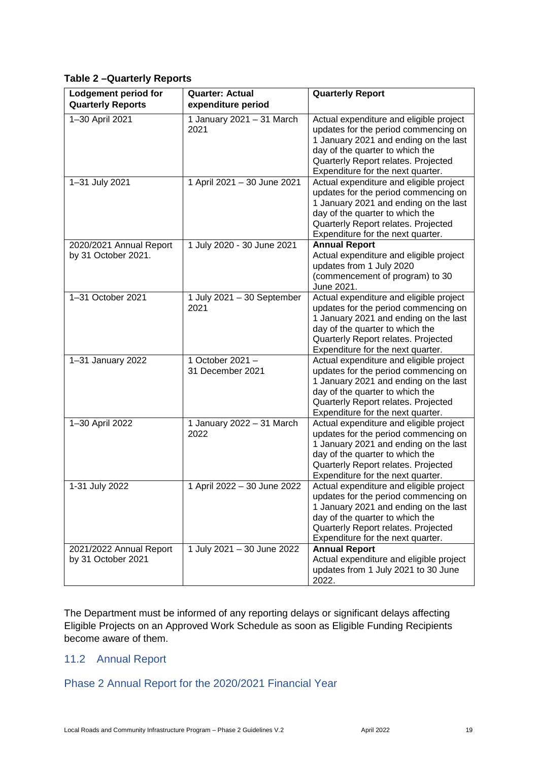#### **Table 2 –Quarterly Reports**

| Lodgement period for<br><b>Quarterly Reports</b> | <b>Quarter: Actual</b><br>expenditure period | <b>Quarterly Report</b>                                                                                                                                                                                                                 |
|--------------------------------------------------|----------------------------------------------|-----------------------------------------------------------------------------------------------------------------------------------------------------------------------------------------------------------------------------------------|
| 1-30 April 2021                                  | 1 January 2021 - 31 March<br>2021            | Actual expenditure and eligible project<br>updates for the period commencing on<br>1 January 2021 and ending on the last<br>day of the quarter to which the<br>Quarterly Report relates. Projected<br>Expenditure for the next quarter. |
| 1-31 July 2021                                   | 1 April 2021 - 30 June 2021                  | Actual expenditure and eligible project<br>updates for the period commencing on<br>1 January 2021 and ending on the last<br>day of the quarter to which the<br>Quarterly Report relates. Projected<br>Expenditure for the next quarter. |
| 2020/2021 Annual Report<br>by 31 October 2021.   | 1 July 2020 - 30 June 2021                   | <b>Annual Report</b><br>Actual expenditure and eligible project<br>updates from 1 July 2020<br>(commencement of program) to 30<br>June 2021.                                                                                            |
| 1-31 October 2021                                | 1 July 2021 - 30 September<br>2021           | Actual expenditure and eligible project<br>updates for the period commencing on<br>1 January 2021 and ending on the last<br>day of the quarter to which the<br>Quarterly Report relates. Projected<br>Expenditure for the next quarter. |
| 1-31 January 2022                                | 1 October 2021-<br>31 December 2021          | Actual expenditure and eligible project<br>updates for the period commencing on<br>1 January 2021 and ending on the last<br>day of the quarter to which the<br>Quarterly Report relates. Projected<br>Expenditure for the next quarter. |
| 1-30 April 2022                                  | 1 January 2022 - 31 March<br>2022            | Actual expenditure and eligible project<br>updates for the period commencing on<br>1 January 2021 and ending on the last<br>day of the quarter to which the<br>Quarterly Report relates. Projected<br>Expenditure for the next quarter. |
| 1-31 July 2022                                   | 1 April 2022 - 30 June 2022                  | Actual expenditure and eligible project<br>updates for the period commencing on<br>1 January 2021 and ending on the last<br>day of the quarter to which the<br>Quarterly Report relates. Projected<br>Expenditure for the next quarter. |
| 2021/2022 Annual Report<br>by 31 October 2021    | 1 July 2021 - 30 June 2022                   | <b>Annual Report</b><br>Actual expenditure and eligible project<br>updates from 1 July 2021 to 30 June<br>2022.                                                                                                                         |

The Department must be informed of any reporting delays or significant delays affecting Eligible Projects on an Approved Work Schedule as soon as Eligible Funding Recipients become aware of them.

### <span id="page-18-0"></span>11.2 Annual Report

## Phase 2 Annual Report for the 2020/2021 Financial Year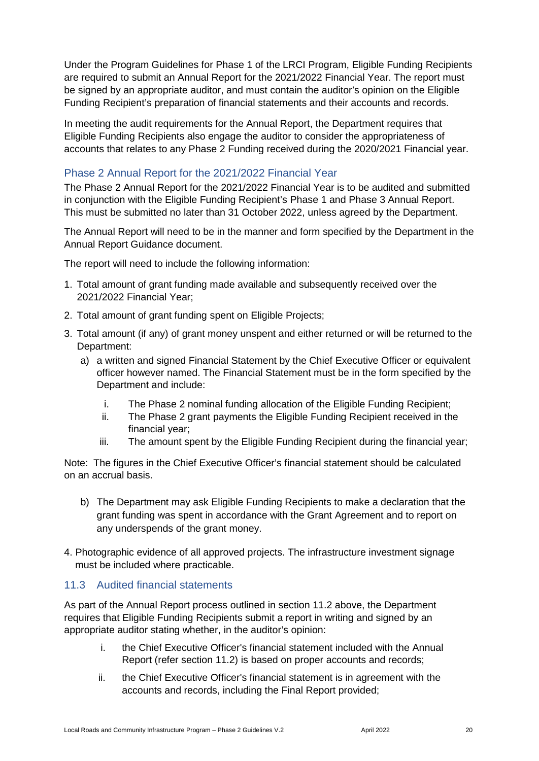Under the Program Guidelines for Phase 1 of the LRCI Program, Eligible Funding Recipients are required to submit an Annual Report for the 2021/2022 Financial Year. The report must be signed by an appropriate auditor, and must contain the auditor's opinion on the Eligible Funding Recipient's preparation of financial statements and their accounts and records.

In meeting the audit requirements for the Annual Report, the Department requires that Eligible Funding Recipients also engage the auditor to consider the appropriateness of accounts that relates to any Phase 2 Funding received during the 2020/2021 Financial year.

### Phase 2 Annual Report for the 2021/2022 Financial Year

The Phase 2 Annual Report for the 2021/2022 Financial Year is to be audited and submitted in conjunction with the Eligible Funding Recipient's Phase 1 and Phase 3 Annual Report. This must be submitted no later than 31 October 2022, unless agreed by the Department.

The Annual Report will need to be in the manner and form specified by the Department in the Annual Report Guidance document.

The report will need to include the following information:

- 1. Total amount of grant funding made available and subsequently received over the 2021/2022 Financial Year;
- 2. Total amount of grant funding spent on Eligible Projects;
- 3. Total amount (if any) of grant money unspent and either returned or will be returned to the Department:
	- a) a written and signed Financial Statement by the Chief Executive Officer or equivalent officer however named. The Financial Statement must be in the form specified by the Department and include:
		- i. The Phase 2 nominal funding allocation of the Eligible Funding Recipient;
		- ii. The Phase 2 grant payments the Eligible Funding Recipient received in the financial year;
		- iii. The amount spent by the Eligible Funding Recipient during the financial year;

Note: The figures in the Chief Executive Officer's financial statement should be calculated on an accrual basis.

- b) The Department may ask Eligible Funding Recipients to make a declaration that the grant funding was spent in accordance with the Grant Agreement and to report on any underspends of the grant money.
- 4. Photographic evidence of all approved projects. The infrastructure investment signage must be included where practicable.

### <span id="page-19-0"></span>11.3 Audited financial statements

As part of the Annual Report process outlined in section 11.2 above, the Department requires that Eligible Funding Recipients submit a report in writing and signed by an appropriate auditor stating whether, in the auditor's opinion:

- i. the Chief Executive Officer's financial statement included with the Annual Report (refer section 11.2) is based on proper accounts and records;
- ii. the Chief Executive Officer's financial statement is in agreement with the accounts and records, including the Final Report provided;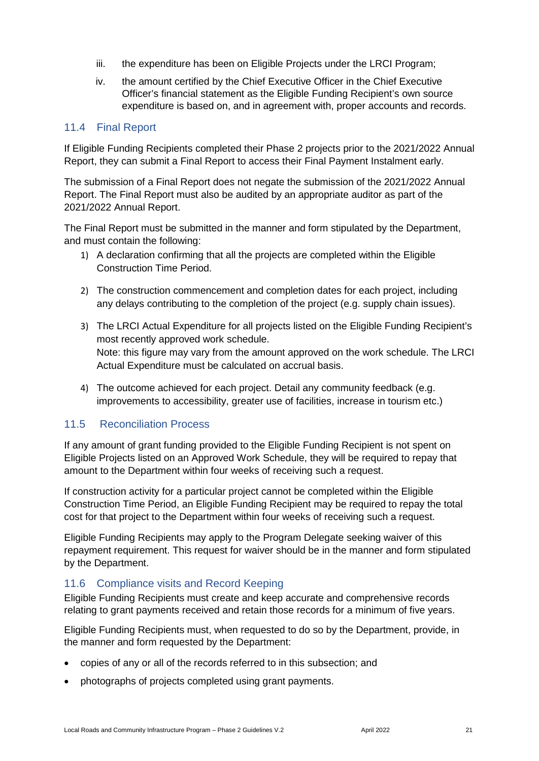- iii. the expenditure has been on Eligible Projects under the LRCI Program;
- iv. the amount certified by the Chief Executive Officer in the Chief Executive Officer's financial statement as the Eligible Funding Recipient's own source expenditure is based on, and in agreement with, proper accounts and records.

#### <span id="page-20-0"></span>11.4 Final Report

If Eligible Funding Recipients completed their Phase 2 projects prior to the 2021/2022 Annual Report, they can submit a Final Report to access their Final Payment Instalment early.

The submission of a Final Report does not negate the submission of the 2021/2022 Annual Report. The Final Report must also be audited by an appropriate auditor as part of the 2021/2022 Annual Report.

The Final Report must be submitted in the manner and form stipulated by the Department, and must contain the following:

- 1) A declaration confirming that all the projects are completed within the Eligible Construction Time Period.
- 2) The construction commencement and completion dates for each project, including any delays contributing to the completion of the project (e.g. supply chain issues).
- 3) The LRCI Actual Expenditure for all projects listed on the Eligible Funding Recipient's most recently approved work schedule. Note: this figure may vary from the amount approved on the work schedule. The LRCI Actual Expenditure must be calculated on accrual basis.
- 4) The outcome achieved for each project. Detail any community feedback (e.g. improvements to accessibility, greater use of facilities, increase in tourism etc.)

### <span id="page-20-1"></span>11.5 Reconciliation Process

If any amount of grant funding provided to the Eligible Funding Recipient is not spent on Eligible Projects listed on an Approved Work Schedule, they will be required to repay that amount to the Department within four weeks of receiving such a request.

If construction activity for a particular project cannot be completed within the Eligible Construction Time Period, an Eligible Funding Recipient may be required to repay the total cost for that project to the Department within four weeks of receiving such a request.

Eligible Funding Recipients may apply to the Program Delegate seeking waiver of this repayment requirement. This request for waiver should be in the manner and form stipulated by the Department.

### <span id="page-20-2"></span>11.6 Compliance visits and Record Keeping

Eligible Funding Recipients must create and keep accurate and comprehensive records relating to grant payments received and retain those records for a minimum of five years.

Eligible Funding Recipients must, when requested to do so by the Department, provide, in the manner and form requested by the Department:

- copies of any or all of the records referred to in this subsection; and
- photographs of projects completed using grant payments.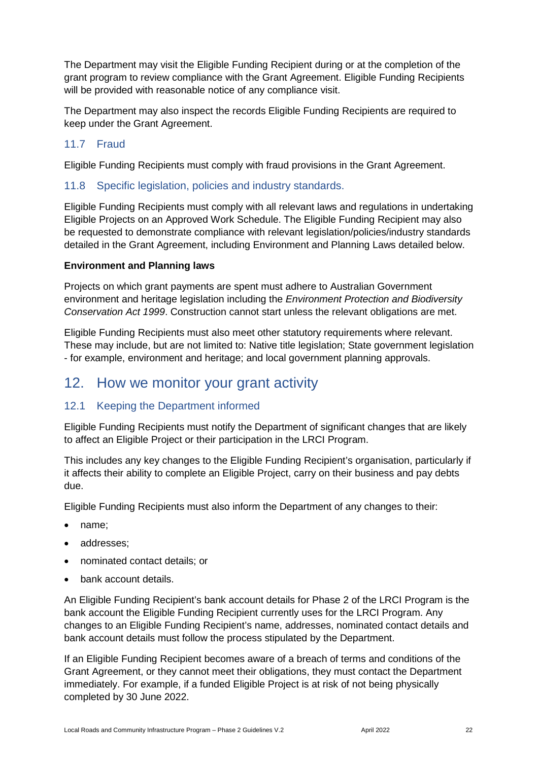The Department may visit the Eligible Funding Recipient during or at the completion of the grant program to review compliance with the Grant Agreement. Eligible Funding Recipients will be provided with reasonable notice of any compliance visit.

The Department may also inspect the records Eligible Funding Recipients are required to keep under the Grant Agreement.

### <span id="page-21-0"></span>11.7 Fraud

Eligible Funding Recipients must comply with fraud provisions in the Grant Agreement.

#### <span id="page-21-1"></span>11.8 Specific legislation, policies and industry standards.

Eligible Funding Recipients must comply with all relevant laws and regulations in undertaking Eligible Projects on an Approved Work Schedule. The Eligible Funding Recipient may also be requested to demonstrate compliance with relevant legislation/policies/industry standards detailed in the Grant Agreement, including Environment and Planning Laws detailed below.

#### **Environment and Planning laws**

Projects on which grant payments are spent must adhere to Australian Government environment and heritage legislation including the *Environment Protection and Biodiversity Conservation Act 1999*. Construction cannot start unless the relevant obligations are met.

Eligible Funding Recipients must also meet other statutory requirements where relevant. These may include, but are not limited to: Native title legislation; State government legislation - for example, environment and heritage; and local government planning approvals.

## <span id="page-21-2"></span>12. How we monitor your grant activity

## <span id="page-21-3"></span>12.1 Keeping the Department informed

Eligible Funding Recipients must notify the Department of significant changes that are likely to affect an Eligible Project or their participation in the LRCI Program.

This includes any key changes to the Eligible Funding Recipient's organisation, particularly if it affects their ability to complete an Eligible Project, carry on their business and pay debts due.

Eligible Funding Recipients must also inform the Department of any changes to their:

- name;
- addresses;
- nominated contact details; or
- bank account details.

An Eligible Funding Recipient's bank account details for Phase 2 of the LRCI Program is the bank account the Eligible Funding Recipient currently uses for the LRCI Program. Any changes to an Eligible Funding Recipient's name, addresses, nominated contact details and bank account details must follow the process stipulated by the Department.

If an Eligible Funding Recipient becomes aware of a breach of terms and conditions of the Grant Agreement, or they cannot meet their obligations, they must contact the Department immediately. For example, if a funded Eligible Project is at risk of not being physically completed by 30 June 2022.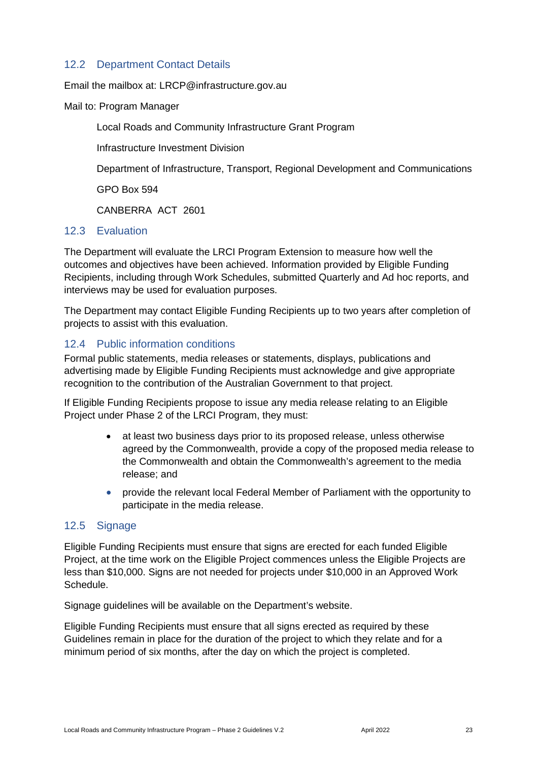### <span id="page-22-0"></span>12.2 Department Contact Details

Email the mailbox at: LRCP@infrastructure.gov.au

Mail to: Program Manager

Local Roads and Community Infrastructure Grant Program

Infrastructure Investment Division

Department of Infrastructure, Transport, Regional Development and Communications

GPO Box 594

CANBERRA ACT 2601

#### <span id="page-22-1"></span>12.3 Evaluation

The Department will evaluate the LRCI Program Extension to measure how well the outcomes and objectives have been achieved. Information provided by Eligible Funding Recipients, including through Work Schedules, submitted Quarterly and Ad hoc reports, and interviews may be used for evaluation purposes.

The Department may contact Eligible Funding Recipients up to two years after completion of projects to assist with this evaluation.

#### <span id="page-22-2"></span>12.4 Public information conditions

Formal public statements, media releases or statements, displays, publications and advertising made by Eligible Funding Recipients must acknowledge and give appropriate recognition to the contribution of the Australian Government to that project.

If Eligible Funding Recipients propose to issue any media release relating to an Eligible Project under Phase 2 of the LRCI Program, they must:

- at least two business days prior to its proposed release, unless otherwise agreed by the Commonwealth, provide a copy of the proposed media release to the Commonwealth and obtain the Commonwealth's agreement to the media release; and
- provide the relevant local Federal Member of Parliament with the opportunity to participate in the media release.

### <span id="page-22-3"></span>12.5 Signage

Eligible Funding Recipients must ensure that signs are erected for each funded Eligible Project, at the time work on the Eligible Project commences unless the Eligible Projects are less than \$10,000. Signs are not needed for projects under \$10,000 in an Approved Work Schedule.

Signage guidelines will be available on the Department's website.

Eligible Funding Recipients must ensure that all signs erected as required by these Guidelines remain in place for the duration of the project to which they relate and for a minimum period of six months, after the day on which the project is completed.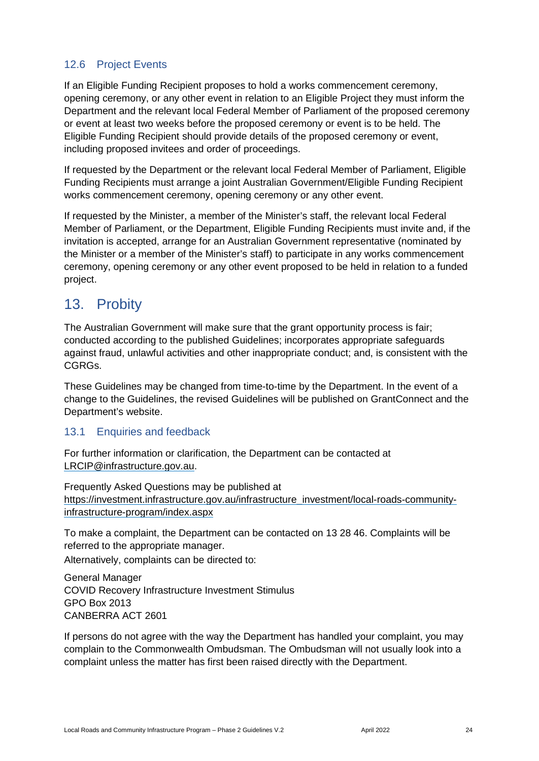## <span id="page-23-0"></span>12.6 Project Events

If an Eligible Funding Recipient proposes to hold a works commencement ceremony, opening ceremony, or any other event in relation to an Eligible Project they must inform the Department and the relevant local Federal Member of Parliament of the proposed ceremony or event at least two weeks before the proposed ceremony or event is to be held. The Eligible Funding Recipient should provide details of the proposed ceremony or event, including proposed invitees and order of proceedings.

If requested by the Department or the relevant local Federal Member of Parliament, Eligible Funding Recipients must arrange a joint Australian Government/Eligible Funding Recipient works commencement ceremony, opening ceremony or any other event.

If requested by the Minister, a member of the Minister's staff, the relevant local Federal Member of Parliament, or the Department, Eligible Funding Recipients must invite and, if the invitation is accepted, arrange for an Australian Government representative (nominated by the Minister or a member of the Minister's staff) to participate in any works commencement ceremony, opening ceremony or any other event proposed to be held in relation to a funded project.

## <span id="page-23-1"></span>13. Probity

The Australian Government will make sure that the grant opportunity process is fair; conducted according to the published Guidelines; incorporates appropriate safeguards against fraud, unlawful activities and other inappropriate conduct; and, is consistent with the CGRGs.

These Guidelines may be changed from time-to-time by the Department. In the event of a change to the Guidelines, the revised Guidelines will be published on GrantConnect and the Department's website.

### <span id="page-23-2"></span>13.1 Enquiries and feedback

For further information or clarification, the Department can be contacted at [LRCIP@infrastructure.gov.au.](mailto:LRCIP@infrastructure.gov.au)

Frequently Asked Questions may be published at [https://investment.infrastructure.gov.au/infrastructure\\_investment/local-roads-community](https://investment.infrastructure.gov.au/infrastructure_investment/local-roads-community-infrastructure-program/index.aspx)[infrastructure-program/index.aspx](https://investment.infrastructure.gov.au/infrastructure_investment/local-roads-community-infrastructure-program/index.aspx)

To make a complaint, the Department can be contacted on 13 28 46. Complaints will be referred to the appropriate manager.

Alternatively, complaints can be directed to:

General Manager COVID Recovery Infrastructure Investment Stimulus GPO Box 2013 CANBERRA ACT 2601

If persons do not agree with the way the Department has handled your complaint, you may complain to the [Commonwealth Ombudsman.](http://www.ombudsman.gov.au/) The Ombudsman will not usually look into a complaint unless the matter has first been raised directly with the Department.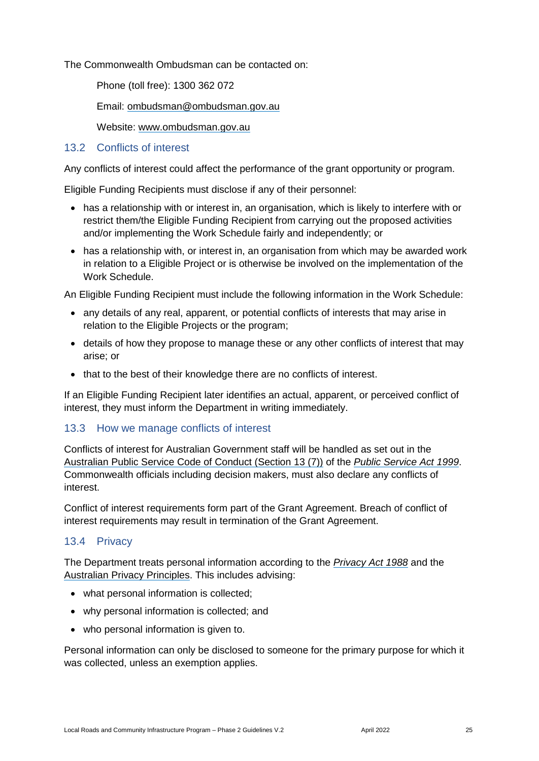The Commonwealth Ombudsman can be contacted on:

Phone (toll free): 1300 362 072

Email: [ombudsman@ombudsman.gov.au](mailto:ombudsman@ombudsman.gov.au)

Website: [www.ombudsman.gov.au](http://www.ombudsman.gov.au/)

#### <span id="page-24-0"></span>13.2 Conflicts of interest

Any conflicts of interest could affect the performance of the grant opportunity or program.

Eligible Funding Recipients must disclose if any of their personnel:

- has a relationship with or interest in, an organisation, which is likely to interfere with or restrict them/the Eligible Funding Recipient from carrying out the proposed activities and/or implementing the Work Schedule fairly and independently; or
- has a relationship with, or interest in, an organisation from which may be awarded work in relation to a Eligible Project or is otherwise be involved on the implementation of the Work Schedule.

An Eligible Funding Recipient must include the following information in the Work Schedule:

- any details of any real, apparent, or potential conflicts of interests that may arise in relation to the Eligible Projects or the program;
- details of how they propose to manage these or any other conflicts of interest that may arise; or
- that to the best of their knowledge there are no conflicts of interest.

If an Eligible Funding Recipient later identifies an actual, apparent, or perceived conflict of interest, they must inform the Department in writing immediately.

#### <span id="page-24-1"></span>13.3 How we manage conflicts of interest

Conflicts of interest for Australian Government staff will be handled as set out in the [Australian Public Service Code of Conduct \(Section 13 \(7\)\)](https://www.apsc.gov.au/code-conduct) of the *[Public Service Act 1999](https://www.legislation.gov.au/Details/C2013C00310)*. Commonwealth officials including decision makers, must also declare any conflicts of interest.

Conflict of interest requirements form part of the Grant Agreement. Breach of conflict of interest requirements may result in termination of the Grant Agreement.

#### <span id="page-24-2"></span>13.4 Privacy

The Department treats personal information according to the *[Privacy Act 1988](https://www.legislation.gov.au/Details/C2014C00076)* and the [Australian Privacy Principles.](https://www.oaic.gov.au/privacy-law/privacy-act/australian-privacy-principles) This includes advising:

- what personal information is collected;
- why personal information is collected; and
- who personal information is given to.

Personal information can only be disclosed to someone for the primary purpose for which it was collected, unless an exemption applies.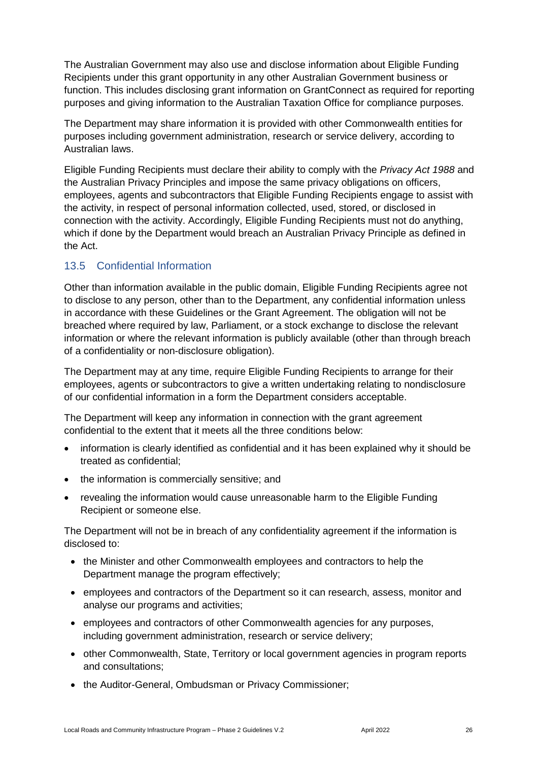The Australian Government may also use and disclose information about Eligible Funding Recipients under this grant opportunity in any other Australian Government business or function. This includes disclosing grant information on GrantConnect as required for reporting purposes and giving information to the Australian Taxation Office for compliance purposes.

The Department may share information it is provided with other Commonwealth entities for purposes including government administration, research or service delivery, according to Australian laws.

Eligible Funding Recipients must declare their ability to comply with the *Privacy Act 1988* and the Australian Privacy Principles and impose the same privacy obligations on officers, employees, agents and subcontractors that Eligible Funding Recipients engage to assist with the activity, in respect of personal information collected, used, stored, or disclosed in connection with the activity. Accordingly, Eligible Funding Recipients must not do anything, which if done by the Department would breach an Australian Privacy Principle as defined in the Act.

### <span id="page-25-0"></span>13.5 Confidential Information

Other than information available in the public domain, Eligible Funding Recipients agree not to disclose to any person, other than to the Department, any confidential information unless in accordance with these Guidelines or the Grant Agreement. The obligation will not be breached where required by law, Parliament, or a stock exchange to disclose the relevant information or where the relevant information is publicly available (other than through breach of a confidentiality or non-disclosure obligation).

The Department may at any time, require Eligible Funding Recipients to arrange for their employees, agents or subcontractors to give a written undertaking relating to nondisclosure of our confidential information in a form the Department considers acceptable.

The Department will keep any information in connection with the grant agreement confidential to the extent that it meets all the three conditions below:

- information is clearly identified as confidential and it has been explained why it should be treated as confidential;
- the information is commercially sensitive; and
- revealing the information would cause unreasonable harm to the Eligible Funding Recipient or someone else.

The Department will not be in breach of any confidentiality agreement if the information is disclosed to:

- the Minister and other Commonwealth employees and contractors to help the Department manage the program effectively;
- employees and contractors of the Department so it can research, assess, monitor and analyse our programs and activities;
- employees and contractors of other Commonwealth agencies for any purposes, including government administration, research or service delivery;
- other Commonwealth, State, Territory or local government agencies in program reports and consultations;
- the Auditor-General, Ombudsman or Privacy Commissioner;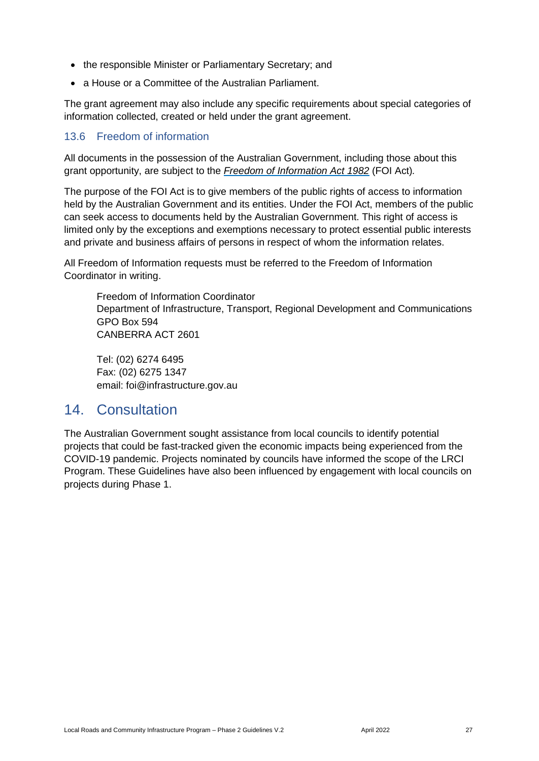- the responsible Minister or Parliamentary Secretary; and
- a House or a Committee of the Australian Parliament.

The grant agreement may also include any specific requirements about special categories of information collected, created or held under the grant agreement.

### <span id="page-26-0"></span>13.6 Freedom of information

All documents in the possession of the Australian Government, including those about this grant opportunity, are subject to the *[Freedom of Information Act 1982](https://www.legislation.gov.au/Series/C2004A02562)* (FOI Act)*.*

The purpose of the FOI Act is to give members of the public rights of access to information held by the Australian Government and its entities. Under the FOI Act, members of the public can seek access to documents held by the Australian Government. This right of access is limited only by the exceptions and exemptions necessary to protect essential public interests and private and business affairs of persons in respect of whom the information relates.

All Freedom of Information requests must be referred to the Freedom of Information Coordinator in writing.

Freedom of Information Coordinator Department of Infrastructure, Transport, Regional Development and Communications GPO Box 594 CANBERRA ACT 2601

Tel: (02) 6274 6495 Fax: (02) 6275 1347 email: [foi@infrastructure.gov.au](mailto:foi@infrastructure.gov.au)

## <span id="page-26-1"></span>14. Consultation

The Australian Government sought assistance from local councils to identify potential projects that could be fast-tracked given the economic impacts being experienced from the COVID-19 pandemic. Projects nominated by councils have informed the scope of the LRCI Program. These Guidelines have also been influenced by engagement with local councils on projects during Phase 1.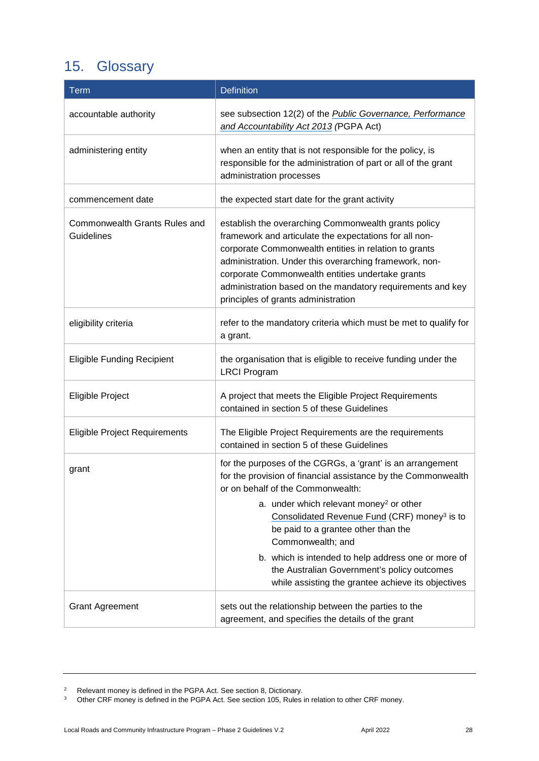# <span id="page-27-0"></span>15. Glossary

| Term                                               | <b>Definition</b>                                                                                                                                                                                                                                                                                                                                                                                                                                                                                           |
|----------------------------------------------------|-------------------------------------------------------------------------------------------------------------------------------------------------------------------------------------------------------------------------------------------------------------------------------------------------------------------------------------------------------------------------------------------------------------------------------------------------------------------------------------------------------------|
| accountable authority                              | see subsection 12(2) of the Public Governance, Performance<br>and Accountability Act 2013 (PGPA Act)                                                                                                                                                                                                                                                                                                                                                                                                        |
| administering entity                               | when an entity that is not responsible for the policy, is<br>responsible for the administration of part or all of the grant<br>administration processes                                                                                                                                                                                                                                                                                                                                                     |
| commencement date                                  | the expected start date for the grant activity                                                                                                                                                                                                                                                                                                                                                                                                                                                              |
| Commonwealth Grants Rules and<br><b>Guidelines</b> | establish the overarching Commonwealth grants policy<br>framework and articulate the expectations for all non-<br>corporate Commonwealth entities in relation to grants<br>administration. Under this overarching framework, non-<br>corporate Commonwealth entities undertake grants<br>administration based on the mandatory requirements and key<br>principles of grants administration                                                                                                                  |
| eligibility criteria                               | refer to the mandatory criteria which must be met to qualify for<br>a grant.                                                                                                                                                                                                                                                                                                                                                                                                                                |
| <b>Eligible Funding Recipient</b>                  | the organisation that is eligible to receive funding under the<br><b>LRCI Program</b>                                                                                                                                                                                                                                                                                                                                                                                                                       |
| Eligible Project                                   | A project that meets the Eligible Project Requirements<br>contained in section 5 of these Guidelines                                                                                                                                                                                                                                                                                                                                                                                                        |
| <b>Eligible Project Requirements</b>               | The Eligible Project Requirements are the requirements<br>contained in section 5 of these Guidelines                                                                                                                                                                                                                                                                                                                                                                                                        |
| grant                                              | for the purposes of the CGRGs, a 'grant' is an arrangement<br>for the provision of financial assistance by the Commonwealth<br>or on behalf of the Commonwealth:<br>a. under which relevant money <sup>2</sup> or other<br>Consolidated Revenue Fund (CRF) money <sup>3</sup> is to<br>be paid to a grantee other than the<br>Commonwealth; and<br>b. which is intended to help address one or more of<br>the Australian Government's policy outcomes<br>while assisting the grantee achieve its objectives |
| <b>Grant Agreement</b>                             | sets out the relationship between the parties to the<br>agreement, and specifies the details of the grant                                                                                                                                                                                                                                                                                                                                                                                                   |

<sup>2</sup> Relevant money is defined in the PGPA Act. See section 8, Dictionary.

<sup>3</sup> Other CRF money is defined in the PGPA Act. See section 105, Rules in relation to other CRF money.